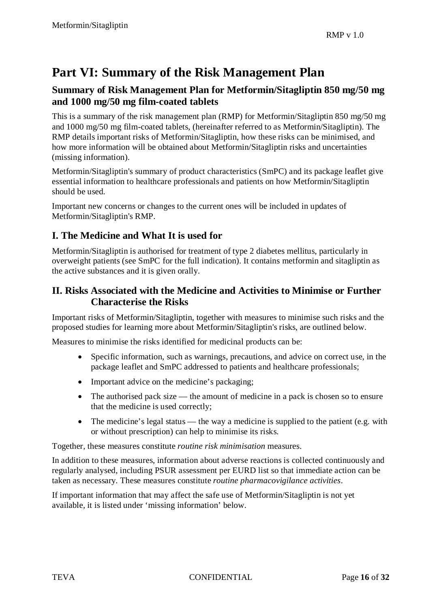# **Part VI: Summary of the Risk Management Plan**

### **Summary of Risk Management Plan for Metformin/Sitagliptin 850 mg/50 mg and 1000 mg/50 mg film-coated tablets**

This is a summary of the risk management plan (RMP) for Metformin/Sitagliptin 850 mg/50 mg and 1000 mg/50 mg film-coated tablets, (hereinafter referred to as Metformin/Sitagliptin). The RMP details important risks of Metformin/Sitagliptin, how these risks can be minimised, and how more information will be obtained about Metformin/Sitagliptin risks and uncertainties (missing information).

Metformin/Sitagliptin's summary of product characteristics (SmPC) and its package leaflet give essential information to healthcare professionals and patients on how Metformin/Sitagliptin should be used.

Important new concerns or changes to the current ones will be included in updates of Metformin/Sitagliptin's RMP.

# **I. The Medicine and What It is used for**

Metformin/Sitagliptin is authorised for treatment of type 2 diabetes mellitus, particularly in overweight patients (see SmPC for the full indication). It contains metformin and sitagliptin as the active substances and it is given orally.

### **II. Risks Associated with the Medicine and Activities to Minimise or Further Characterise the Risks**

Important risks of Metformin/Sitagliptin, together with measures to minimise such risks and the proposed studies for learning more about Metformin/Sitagliptin's risks, are outlined below.

Measures to minimise the risks identified for medicinal products can be:

- Specific information, such as warnings, precautions, and advice on correct use, in the package leaflet and SmPC addressed to patients and healthcare professionals;
- Important advice on the medicine's packaging;
- The authorised pack size the amount of medicine in a pack is chosen so to ensure that the medicine is used correctly;
- The medicine's legal status the way a medicine is supplied to the patient (e.g. with or without prescription) can help to minimise its risks.

Together, these measures constitute *routine risk minimisation* measures.

In addition to these measures, information about adverse reactions is collected continuously and regularly analysed, including PSUR assessment per EURD list so that immediate action can be taken as necessary. These measures constitute *routine pharmacovigilance activities*.

If important information that may affect the safe use of Metformin/Sitagliptin is not yet available, it is listed under 'missing information' below.